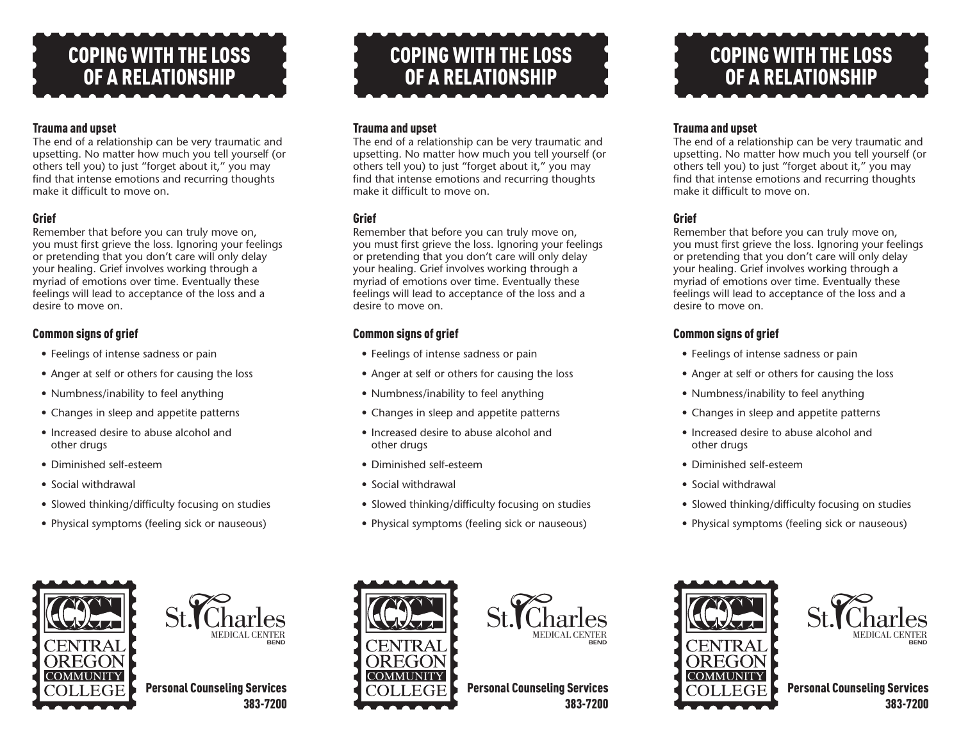# COPING WITH THE LOSS OF A RELATIONSHIP

#### Trauma and upset

The end of a relationship can be very traumatic and upsetting. No matter how much you tell yourself (or others tell you) to just "forget about it," you may find that intense emotions and recurring thoughts make it difficult to move on.

#### **Grief**

Remember that before you can truly move on, you must first grieve the loss. Ignoring your feelings or pretending that you don't care will only delay your healing. Grief involves working through a myriad of emotions over time. Eventually these feelings will lead to acceptance of the loss and a desire to move on.

#### Common signs of grief

- Feelings of intense sadness or pain
- Anger at self or others for causing the loss
- Numbness/inability to feel anything
- Changes in sleep and appetite patterns
- Increased desire to abuse alcohol and other drugs
- Diminished self-esteem
- Social withdrawal
- Slowed thinking/difficulty focusing on studies
- Physical symptoms (feeling sick or nauseous)





Personal Counseling Services 383-7200



#### Trauma and upset

The end of a relationship can be very traumatic and upsetting. No matter how much you tell yourself (or others tell you) to just "forget about it," you may find that intense emotions and recurring thoughts make it difficult to move on.

#### **Grief**

Remember that before you can truly move on, you must first grieve the loss. Ignoring your feelings or pretending that you don't care will only delay your healing. Grief involves working through a myriad of emotions over time. Eventually these feelings will lead to acceptance of the loss and a desire to move on.

#### Common signs of grief

- Feelings of intense sadness or pain
- Anger at self or others for causing the loss
- Numbness/inability to feel anything
- Changes in sleep and appetite patterns
- Increased desire to abuse alcohol and other drugs
- Diminished self-esteem
- Social withdrawal
- Slowed thinking/difficulty focusing on studies
- Physical symptoms (feeling sick or nauseous)





Personal Counseling Services 383-7200

# COPING WITH THE LOSS OF A RELATIONSHIP

#### Trauma and upset

The end of a relationship can be very traumatic and upsetting. No matter how much you tell yourself (or others tell you) to just "forget about it," you may find that intense emotions and recurring thoughts make it difficult to move on

#### **Grief**

Remember that before you can truly move on, you must first grieve the loss. Ignoring your feelings or pretending that you don't care will only delay your healing. Grief involves working through a myriad of emotions over time. Eventually these feelings will lead to acceptance of the loss and a desire to move on.

#### Common signs of grief

- Feelings of intense sadness or pain
- Anger at self or others for causing the loss
- Numbness/inability to feel anything
- Changes in sleep and appetite patterns
- Increased desire to abuse alcohol and other drugs
- Diminished self-esteem
- Social withdrawal
- Slowed thinking/difficulty focusing on studies
- Physical symptoms (feeling sick or nauseous)





Personal Counseling Services 383-7200